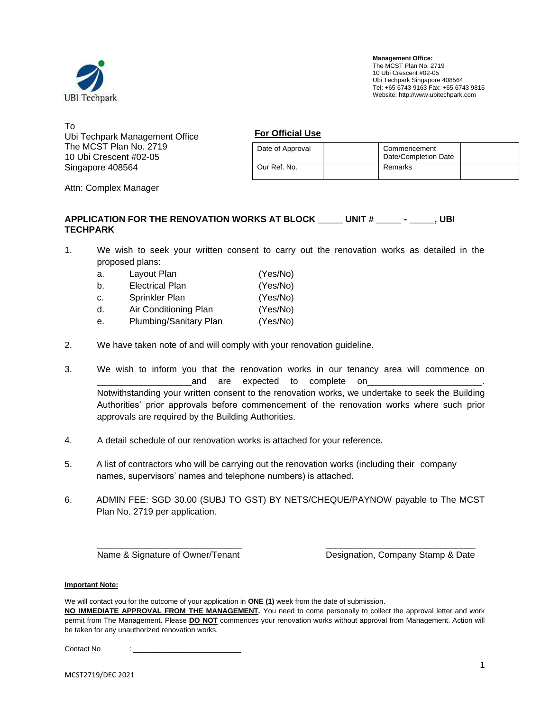

To Ubi Techpark Management Office The MCST Plan No. 2719 10 Ubi Crescent #02-05 Singapore 408564

**For Official Use**

| Date of Approval | Commencement<br>Date/Completion Date |  |
|------------------|--------------------------------------|--|
| Our Ref. No.     | Remarks                              |  |

Attn: Complex Manager

### **APPLICATION FOR THE RENOVATION WORKS AT BLOCK \_\_\_\_\_ UNIT # \_\_\_\_\_ - \_\_\_\_\_, UBI TECHPARK**

1. We wish to seek your written consent to carry out the renovation works as detailed in the proposed plans:

| a. | Layout Plan            | (Yes/No) |
|----|------------------------|----------|
| b. | <b>Electrical Plan</b> | (Yes/No) |
| c. | Sprinkler Plan         | (Yes/No) |
| d. | Air Conditioning Plan  | (Yes/No) |
| е. | Plumbing/Sanitary Plan | (Yes/No) |

- 2. We have taken note of and will comply with your renovation guideline.
- 3. We wish to inform you that the renovation works in our tenancy area will commence on and are expected to complete on\_ Notwithstanding your written consent to the renovation works, we undertake to seek the Building Authorities' prior approvals before commencement of the renovation works where such prior approvals are required by the Building Authorities.
- 4. A detail schedule of our renovation works is attached for your reference.
- 5. A list of contractors who will be carrying out the renovation works (including their company names, supervisors' names and telephone numbers) is attached.
- 6. ADMIN FEE: SGD 30.00 (SUBJ TO GST) BY NETS/CHEQUE/PAYNOW payable to The MCST Plan No. 2719 per application.

\_\_\_\_\_\_\_\_\_\_\_\_\_\_\_\_\_\_\_\_\_\_\_\_\_\_\_\_\_ \_\_\_\_\_\_\_\_\_\_\_\_\_\_\_\_\_\_\_\_\_\_\_\_\_\_\_\_\_\_ Name & Signature of Owner/Tenant Designation, Company Stamp & Date

#### **Important Note:**

We will contact you for the outcome of your application in **ONE (1)** week from the date of submission. **NO IMMEDIATE APPROVAL FROM THE MANAGEMENT***.* You need to come personally to collect the approval letter and work permit from The Management. Please **DO NOT** commences your renovation works without approval from Management. Action will be taken for any unauthorized renovation works.

Contact No : \_\_\_\_\_\_\_\_\_\_\_\_\_\_\_\_\_\_\_\_\_\_\_\_\_\_\_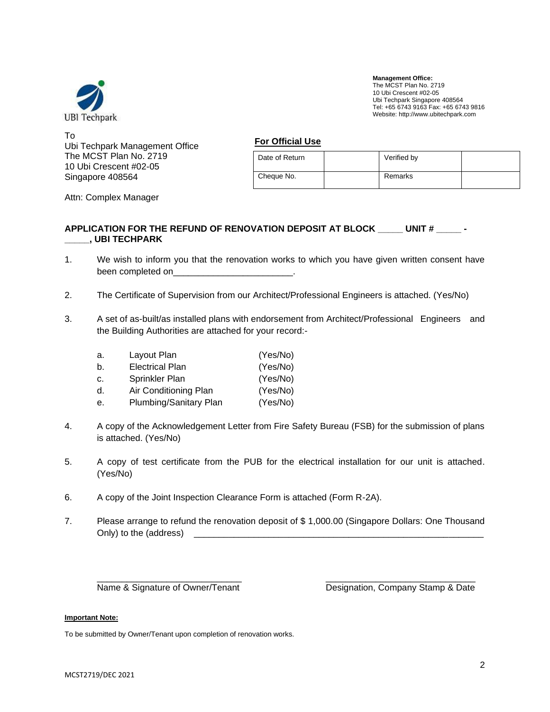

To Ubi Techpark Management Office The MCST Plan No. 2719 10 Ubi Crescent #02-05 Singapore 408564

| <b>For Official Use</b> |  |
|-------------------------|--|
|-------------------------|--|

| Date of Return | Verified by |  |
|----------------|-------------|--|
| Cheque No.     | Remarks     |  |

Attn: Complex Manager

#### **APPLICATION FOR THE REFUND OF RENOVATION DEPOSIT AT BLOCK \_\_\_\_\_ UNIT # \_\_\_\_\_ - \_\_\_\_\_, UBI TECHPARK**

- 1. We wish to inform you that the renovation works to which you have given written consent have been completed on
- 2. The Certificate of Supervision from our Architect/Professional Engineers is attached. (Yes/No)
- 3. A set of as-built/as installed plans with endorsement from Architect/Professional Engineers and the Building Authorities are attached for your record:-

| а. | Layout Plan            | (Yes/No) |
|----|------------------------|----------|
| b. | <b>Electrical Plan</b> | (Yes/No) |
| c. | Sprinkler Plan         | (Yes/No) |
| d. | Air Conditioning Plan  | (Yes/No) |
| е. | Plumbing/Sanitary Plan | (Yes/No) |

- 4. A copy of the Acknowledgement Letter from Fire Safety Bureau (FSB) for the submission of plans is attached. (Yes/No)
- 5. A copy of test certificate from the PUB for the electrical installation for our unit is attached. (Yes/No)
- 6. A copy of the Joint Inspection Clearance Form is attached (Form R-2A).
- 7. Please arrange to refund the renovation deposit of \$ 1,000.00 (Singapore Dollars: One Thousand Only) to the (address)

\_\_\_\_\_\_\_\_\_\_\_\_\_\_\_\_\_\_\_\_\_\_\_\_\_\_\_\_\_ \_\_\_\_\_\_\_\_\_\_\_\_\_\_\_\_\_\_\_\_\_\_\_\_\_\_\_\_\_\_

Name & Signature of Owner/Tenant Designation, Company Stamp & Date

#### **Important Note:**

To be submitted by Owner/Tenant upon completion of renovation works.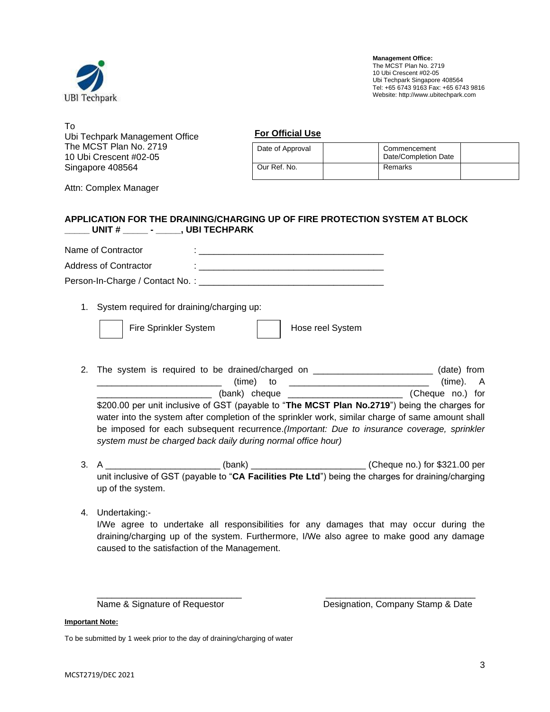

To Ubi Techpark Management Office The MCST Plan No. 2719 10 Ubi Crescent #02-05 Singapore 408564

**For Official Use**

| Date of Approval | Commencement<br>Date/Completion Date |  |
|------------------|--------------------------------------|--|
| Our Ref. No.     | Remarks                              |  |

Attn: Complex Manager

### **APPLICATION FOR THE DRAINING/CHARGING UP OF FIRE PROTECTION SYSTEM AT BLOCK \_\_\_\_\_ UNIT # \_\_\_\_\_ - \_\_\_\_\_, UBI TECHPARK**

| Name of Contractor              |  |
|---------------------------------|--|
| Address of Contractor           |  |
| Person-In-Charge / Contact No.: |  |

1. System required for draining/charging up:

|  | Fire Sprinkler Systen |  |
|--|-----------------------|--|
|--|-----------------------|--|

metric System System System System

- 2. The system is required to be drained/charged on \_\_\_\_\_\_\_\_\_\_\_\_\_\_\_\_\_\_\_\_\_\_\_\_\_\_\_\_ (date) from  $(\text{time})$  to  $\qquad \qquad$  (time). A \_\_\_\_\_\_\_\_\_\_\_\_\_\_\_\_\_\_\_\_\_\_\_ (bank) cheque \_\_\_\_\_\_\_\_\_\_\_\_\_\_\_\_\_\_\_\_\_\_\_ (Cheque no.) for \$200.00 per unit inclusive of GST (payable to "**The MCST Plan No.2719**") being the charges for water into the system after completion of the sprinkler work, similar charge of same amount shall be imposed for each subsequent recurrence.*(Important: Due to insurance coverage, sprinkler system must be charged back daily during normal office hour)*
- 3. A \_\_\_\_\_\_\_\_\_\_\_\_\_\_\_\_\_\_\_\_\_\_\_\_\_\_\_\_(bank) \_\_\_\_\_\_\_\_\_\_\_\_\_\_\_\_\_\_\_\_\_\_\_\_\_\_\_\_\_\_\_\_\_(Cheque no.) for \$321.00 per unit inclusive of GST (payable to "**CA Facilities Pte Ltd**") being the charges for draining/charging up of the system.
- 4. Undertaking:-

I/We agree to undertake all responsibilities for any damages that may occur during the draining/charging up of the system. Furthermore, I/We also agree to make good any damage caused to the satisfaction of the Management.

\_\_\_\_\_\_\_\_\_\_\_\_\_\_\_\_\_\_\_\_\_\_\_\_\_\_\_\_\_ \_\_\_\_\_\_\_\_\_\_\_\_\_\_\_\_\_\_\_\_\_\_\_\_\_\_\_\_\_\_

Name & Signature of Requestor **Designation**, Company Stamp & Date

**Important Note:**

To be submitted by 1 week prior to the day of draining/charging of water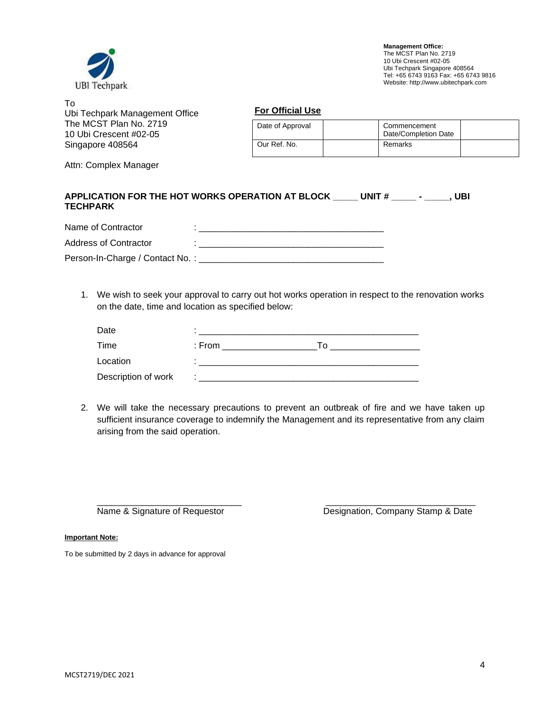

| To<br>Ubi Techpark Management Office             | <b>For Official Use</b> |  |                                      |  |
|--------------------------------------------------|-------------------------|--|--------------------------------------|--|
| The MCST Plan No. 2719<br>10 Ubi Crescent #02-05 | Date of Approval        |  | Commencement<br>Date/Completion Date |  |
| Singapore 408564                                 | Our Ref. No.            |  | Remarks                              |  |

Attn: Complex Manager

| <b>TECHPARK</b>    | APPLICATION FOR THE HOT WORKS OPERATION AT BLOCK | UNIT # | UBI |
|--------------------|--------------------------------------------------|--------|-----|
| Name of Contractor |                                                  |        |     |

| Address of Contractor           |  |
|---------------------------------|--|
| Person-In-Charge / Contact No.: |  |

1. We wish to seek your approval to carry out hot works operation in respect to the renovation works on the date, time and location as specified below:

| Date                |        |     |
|---------------------|--------|-----|
| Time                | : From | ח ו |
| Location            |        |     |
| Description of work |        |     |

2. We will take the necessary precautions to prevent an outbreak of fire and we have taken up sufficient insurance coverage to indemnify the Management and its representative from any claim arising from the said operation.

\_\_\_\_\_\_\_\_\_\_\_\_\_\_\_\_\_\_\_\_\_\_\_\_\_\_\_\_\_ \_\_\_\_\_\_\_\_\_\_\_\_\_\_\_\_\_\_\_\_\_\_\_\_\_\_\_\_\_\_

Name & Signature of Requestor **Designation**, Company Stamp & Date

**Important Note:**

To be submitted by 2 days in advance for approval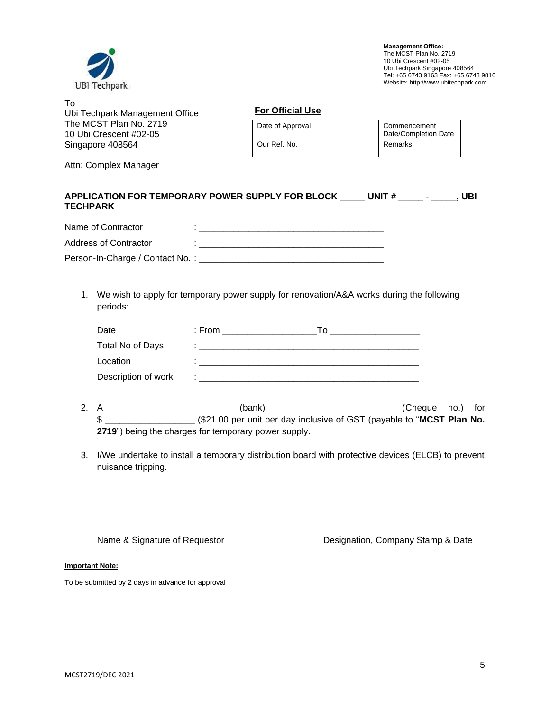

| To<br>Ubi Techpark Management Office             | <b>For Official Use</b>                                  |  |         |  |
|--------------------------------------------------|----------------------------------------------------------|--|---------|--|
| The MCST Plan No. 2719<br>10 Ubi Crescent #02-05 | Date of Approval<br>Commencement<br>Date/Completion Date |  |         |  |
| Singapore 408564                                 | Our Ref. No.                                             |  | Remarks |  |

Attn: Complex Manager

| <b>TECHPARK</b>    | APPLICATION FOR TEMPORARY POWER SUPPLY FOR BLOCK | UNIT# | UBI |
|--------------------|--------------------------------------------------|-------|-----|
| Name of Contractor |                                                  |       |     |

| Address of Contractor           |  |
|---------------------------------|--|
| Person-In-Charge / Contact No.: |  |

1. We wish to apply for temporary power supply for renovation/A&A works during the following periods:

| Date                | : From | ח ו |
|---------------------|--------|-----|
| Total No of Days    |        |     |
| Location            |        |     |
| Description of work |        |     |

- 2. A \_\_\_\_\_\_\_\_\_\_\_\_\_\_\_\_\_\_\_\_\_\_\_ (bank) \_\_\_\_\_\_\_\_\_\_\_\_\_\_\_\_\_\_\_\_\_\_\_ (Cheque no.) for \$ \_\_\_\_\_\_\_\_\_\_\_\_\_\_\_\_\_\_ (\$21.00 per unit per day inclusive of GST (payable to "**MCST Plan No. 2719**") being the charges for temporary power supply.
- 3. I/We undertake to install a temporary distribution board with protective devices (ELCB) to prevent nuisance tripping.

\_\_\_\_\_\_\_\_\_\_\_\_\_\_\_\_\_\_\_\_\_\_\_\_\_\_\_\_\_ \_\_\_\_\_\_\_\_\_\_\_\_\_\_\_\_\_\_\_\_\_\_\_\_\_\_\_\_\_\_ Name & Signature of Requestor **Designation**, Company Stamp & Date

**Important Note:**

To be submitted by 2 days in advance for approval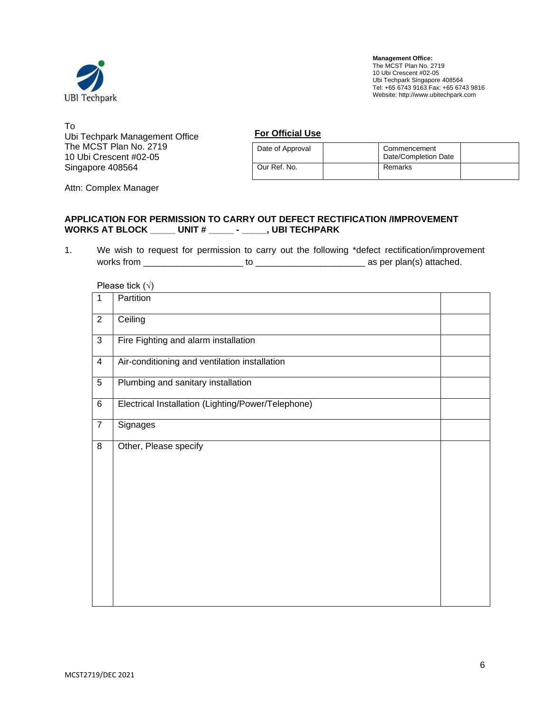

To Ubi Techpark Management Office The MCST Plan No. 2719 10 Ubi Crescent #02-05 Singapore 408564

**For Official Use**

| Date of Approval | Commencement<br>Date/Completion Date |  |
|------------------|--------------------------------------|--|
| Our Ref. No.     | Remarks                              |  |

Attn: Complex Manager

### **APPLICATION FOR PERMISSION TO CARRY OUT DEFECT RECTIFICATION /IMPROVEMENT WORKS AT BLOCK \_\_\_\_\_ UNIT # \_\_\_\_\_ - \_\_\_\_\_, UBI TECHPARK**

1. We wish to request for permission to carry out the following \*defect rectification/improvement works from \_\_\_\_\_\_\_\_\_\_\_\_\_\_\_\_\_\_\_\_ to \_\_\_\_\_\_\_\_\_\_\_\_\_\_\_\_\_\_\_\_\_\_ as per plan(s) attached.

Please tick  $(\sqrt{)}$ 

|                | $\sqrt{ }$                                         |  |
|----------------|----------------------------------------------------|--|
| $\overline{1}$ | Partition                                          |  |
| $\overline{2}$ | Ceiling                                            |  |
| 3              | Fire Fighting and alarm installation               |  |
| $\overline{4}$ | Air-conditioning and ventilation installation      |  |
| 5              | Plumbing and sanitary installation                 |  |
| 6              | Electrical Installation (Lighting/Power/Telephone) |  |
| $\overline{7}$ | Signages                                           |  |
| 8              | Other, Please specify                              |  |
|                |                                                    |  |
|                |                                                    |  |
|                |                                                    |  |
|                |                                                    |  |
|                |                                                    |  |
|                |                                                    |  |
|                |                                                    |  |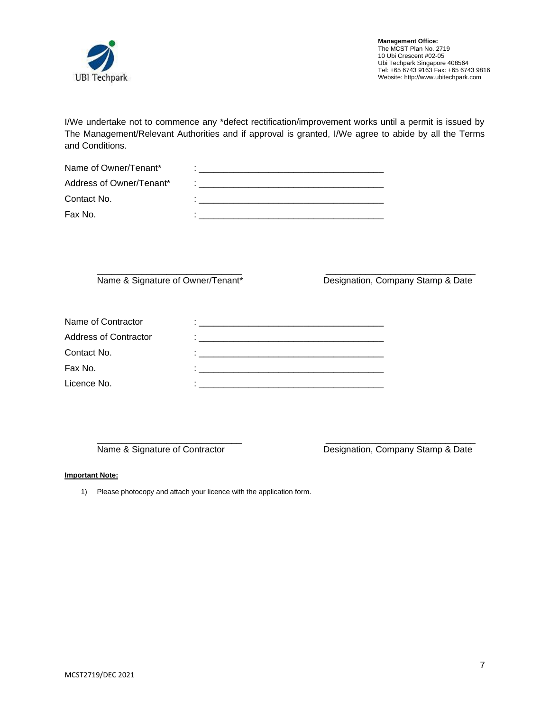

I/We undertake not to commence any \*defect rectification/improvement works until a permit is issued by The Management/Relevant Authorities and if approval is granted, I/We agree to abide by all the Terms and Conditions.

| Name of Owner/Tenant*    |  |
|--------------------------|--|
| Address of Owner/Tenant* |  |
| Contact No.              |  |
| Fax No.                  |  |

\_\_\_\_\_\_\_\_\_\_\_\_\_\_\_\_\_\_\_\_\_\_\_\_\_\_\_\_\_ \_\_\_\_\_\_\_\_\_\_\_\_\_\_\_\_\_\_\_\_\_\_\_\_\_\_\_\_\_\_

Name & Signature of Owner/Tenant\* Designation, Company Stamp & Date

| Name of Contractor           |                                                                                                                       |
|------------------------------|-----------------------------------------------------------------------------------------------------------------------|
| <b>Address of Contractor</b> | <u> 1980 - Jan Berlin, martin bestehen der ausgestellt der Berlin und der Berlin und der Berlin und der Berlin un</u> |
| Contact No.                  |                                                                                                                       |
| Fax No.                      |                                                                                                                       |
| Licence No.                  |                                                                                                                       |

\_\_\_\_\_\_\_\_\_\_\_\_\_\_\_\_\_\_\_\_\_\_\_\_\_\_\_\_\_ \_\_\_\_\_\_\_\_\_\_\_\_\_\_\_\_\_\_\_\_\_\_\_\_\_\_\_\_\_\_

Name & Signature of Contractor **Designation**, Company Stamp & Date

#### **Important Note:**

1) Please photocopy and attach your licence with the application form.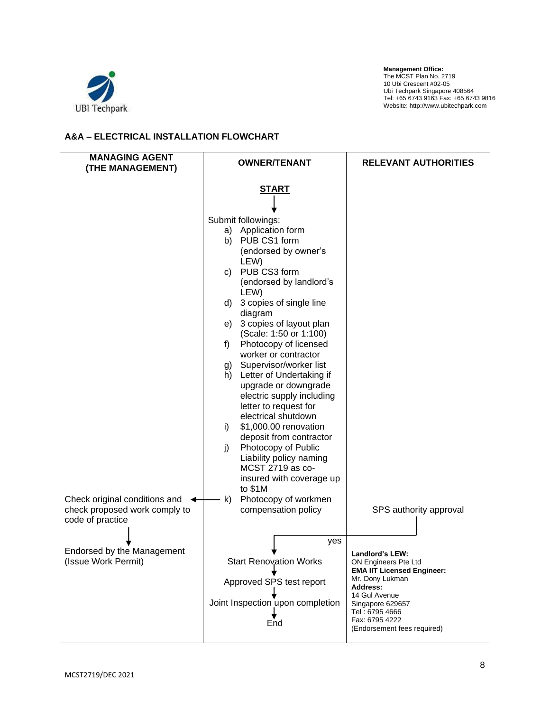

## **A&A – ELECTRICAL INSTALLATION FLOWCHART**

| <b>MANAGING AGENT</b><br>(THE MANAGEMENT)                                                       | <b>OWNER/TENANT</b>                                                                                                                                                                                                                                                                                                                                                                                                                                                                                                                                                                                                                                                                                                                          | <b>RELEVANT AUTHORITIES</b>                                                                                                                                                                                         |
|-------------------------------------------------------------------------------------------------|----------------------------------------------------------------------------------------------------------------------------------------------------------------------------------------------------------------------------------------------------------------------------------------------------------------------------------------------------------------------------------------------------------------------------------------------------------------------------------------------------------------------------------------------------------------------------------------------------------------------------------------------------------------------------------------------------------------------------------------------|---------------------------------------------------------------------------------------------------------------------------------------------------------------------------------------------------------------------|
| Check original conditions and $\leftarrow$<br>check proposed work comply to<br>code of practice | <u>START</u><br>Submit followings:<br>a) Application form<br>PUB CS1 form<br>b)<br>(endorsed by owner's<br>LEW)<br>PUB CS3 form<br>C)<br>(endorsed by landlord's<br>LEW)<br>3 copies of single line<br>d)<br>diagram<br>3 copies of layout plan<br>e)<br>(Scale: 1:50 or 1:100)<br>Photocopy of licensed<br>f)<br>worker or contractor<br>Supervisor/worker list<br>g)<br>h) Letter of Undertaking if<br>upgrade or downgrade<br>electric supply including<br>letter to request for<br>electrical shutdown<br>\$1,000.00 renovation<br>i)<br>deposit from contractor<br>Photocopy of Public<br>j)<br>Liability policy naming<br>MCST 2719 as co-<br>insured with coverage up<br>to \$1M<br>Photocopy of workmen<br>k)<br>compensation policy | SPS authority approval                                                                                                                                                                                              |
| Endorsed by the Management<br>(Issue Work Permit)                                               | yes<br><b>Start Renovation Works</b><br>Approved SPS test report<br>Joint Inspection upon completion<br>End                                                                                                                                                                                                                                                                                                                                                                                                                                                                                                                                                                                                                                  | Landlord's LEW:<br>ON Engineers Pte Ltd<br><b>EMA IIT Licensed Engineer:</b><br>Mr. Dony Lukman<br>Address:<br>14 Gul Avenue<br>Singapore 629657<br>Tel: 6795 4666<br>Fax: 6795 4222<br>(Endorsement fees required) |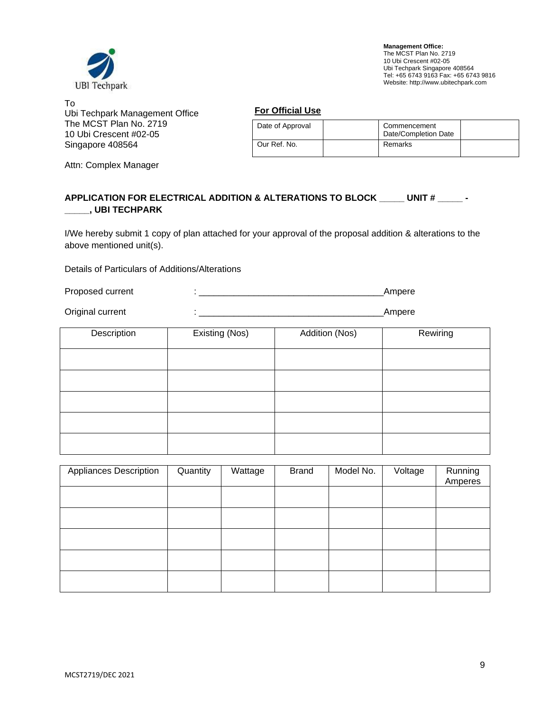

To Ubi Techpark Management Office The MCST Plan No. 2719 10 Ubi Crescent #02-05 Singapore 408564

Attn: Complex Manager

#### **For Official Use**

| Date of Approval | Commencement<br>Date/Completion Date |  |
|------------------|--------------------------------------|--|
| Our Ref. No.     | Remarks                              |  |

## **APPLICATION FOR ELECTRICAL ADDITION & ALTERATIONS TO BLOCK \_\_\_\_\_ UNIT # \_\_\_\_\_ - \_\_\_\_\_, UBI TECHPARK**

I/We hereby submit 1 copy of plan attached for your approval of the proposal addition & alterations to the above mentioned unit(s).

Details of Particulars of Additions/Alterations

Proposed current : \_\_\_\_\_\_\_\_\_\_\_\_\_\_\_\_\_\_\_\_\_\_\_\_\_\_\_\_\_\_\_\_\_\_\_\_\_Ampere

Original current : \_\_\_\_\_\_\_\_\_\_\_\_\_\_\_\_\_\_\_\_\_\_\_\_\_\_\_\_\_\_\_\_\_\_\_\_\_Ampere

| Description | Existing (Nos) | Addition (Nos) | Rewiring |
|-------------|----------------|----------------|----------|
|             |                |                |          |
|             |                |                |          |
|             |                |                |          |
|             |                |                |          |
|             |                |                |          |

| Appliances Description | Quantity | Wattage | <b>Brand</b> | Model No. | Voltage | Running<br>Amperes |
|------------------------|----------|---------|--------------|-----------|---------|--------------------|
|                        |          |         |              |           |         |                    |
|                        |          |         |              |           |         |                    |
|                        |          |         |              |           |         |                    |
|                        |          |         |              |           |         |                    |
|                        |          |         |              |           |         |                    |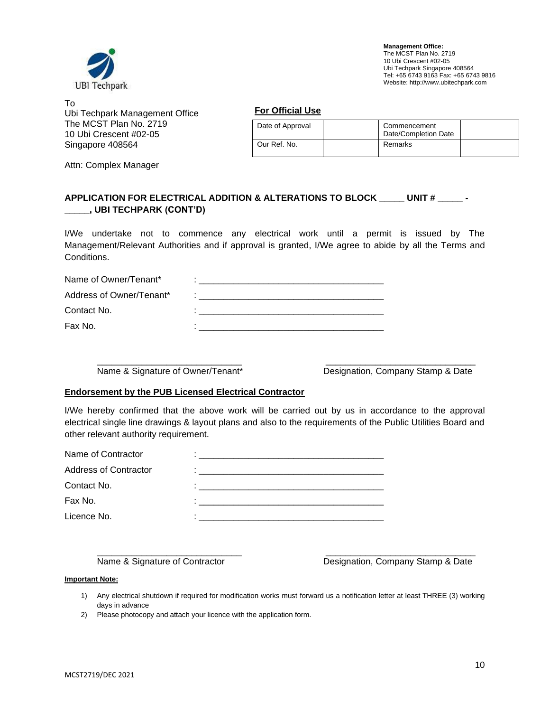

To Ubi Techpark Management Office The MCST Plan No. 2719 10 Ubi Crescent #02-05 Singapore 408564

Attn: Complex Manager

| Date of Approval | Commencement<br>Date/Completion Date |  |
|------------------|--------------------------------------|--|
| Our Ref. No.     | Remarks                              |  |

## **APPLICATION FOR ELECTRICAL ADDITION & ALTERATIONS TO BLOCK \_\_\_\_\_ UNIT # \_\_\_\_\_ - \_\_\_\_\_, UBI TECHPARK (CONT'D)**

I/We undertake not to commence any electrical work until a permit is issued by The Management/Relevant Authorities and if approval is granted, I/We agree to abide by all the Terms and Conditions.

| Name of Owner/Tenant*    |  |
|--------------------------|--|
| Address of Owner/Tenant* |  |
| Contact No.              |  |
| Fax No.                  |  |

\_\_\_\_\_\_\_\_\_\_\_\_\_\_\_\_\_\_\_\_\_\_\_\_\_\_\_\_\_ \_\_\_\_\_\_\_\_\_\_\_\_\_\_\_\_\_\_\_\_\_\_\_\_\_\_\_\_\_\_

Name & Signature of Owner/Tenant\* Designation, Company Stamp & Date

#### **Endorsement by the PUB Licensed Electrical Contractor**

I/We hereby confirmed that the above work will be carried out by us in accordance to the approval electrical single line drawings & layout plans and also to the requirements of the Public Utilities Board and other relevant authority requirement.

| <u> 1980 - Jan Barat, margaret eta bat zuen bat zuen bat zuen bat zuen bat zuen bat zuen bat zuen bat zuen bat zu</u> |
|-----------------------------------------------------------------------------------------------------------------------|
|                                                                                                                       |
|                                                                                                                       |
|                                                                                                                       |
|                                                                                                                       |

\_\_\_\_\_\_\_\_\_\_\_\_\_\_\_\_\_\_\_\_\_\_\_\_\_\_\_\_\_ \_\_\_\_\_\_\_\_\_\_\_\_\_\_\_\_\_\_\_\_\_\_\_\_\_\_\_\_\_\_

Name & Signature of Contractor **Designation**, Company Stamp & Date

#### **Important Note:**

- 1) Any electrical shutdown if required for modification works must forward us a notification letter at least THREE (3) working days in advance
- 2) Please photocopy and attach your licence with the application form.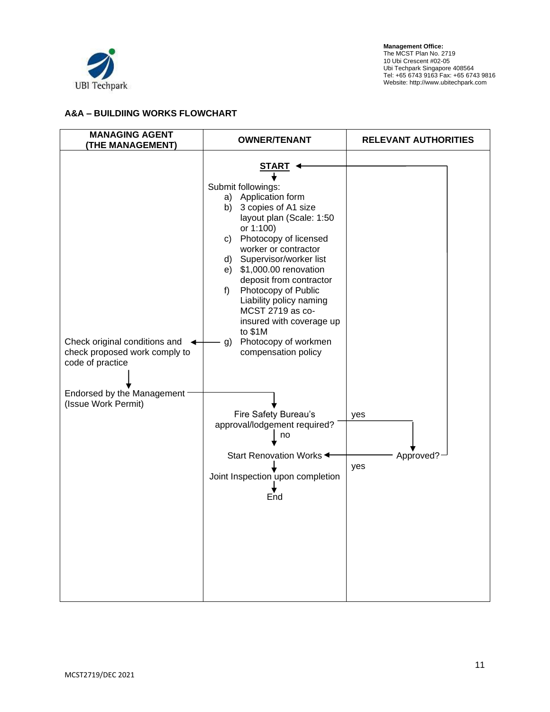

## **A&A – BUILDIING WORKS FLOWCHART**

| <b>MANAGING AGENT</b><br>(THE MANAGEMENT)                                                                                               | <b>OWNER/TENANT</b>                                                                                                                                                                                                                                                                                                                                                                                                                                                                                                                                                             | <b>RELEVANT AUTHORITIES</b> |  |
|-----------------------------------------------------------------------------------------------------------------------------------------|---------------------------------------------------------------------------------------------------------------------------------------------------------------------------------------------------------------------------------------------------------------------------------------------------------------------------------------------------------------------------------------------------------------------------------------------------------------------------------------------------------------------------------------------------------------------------------|-----------------------------|--|
| Check original conditions and<br>check proposed work comply to<br>code of practice<br>Endorsed by the Management<br>(Issue Work Permit) | START <<br>Submit followings:<br>a) Application form<br>b) 3 copies of A1 size<br>layout plan (Scale: 1:50<br>or 1:100)<br>c) Photocopy of licensed<br>worker or contractor<br>d) Supervisor/worker list<br>$e)$ \$1,000.00 renovation<br>deposit from contractor<br>Photocopy of Public<br>$f$ )<br>Liability policy naming<br>MCST 2719 as co-<br>insured with coverage up<br>to \$1M<br>Photocopy of workmen<br>g)<br>compensation policy<br>Fire Safety Bureau's<br>approval/lodgement required?<br>no<br>Start Renovation Works<br>Joint Inspection upon completion<br>End | yes<br>Approved?<br>yes     |  |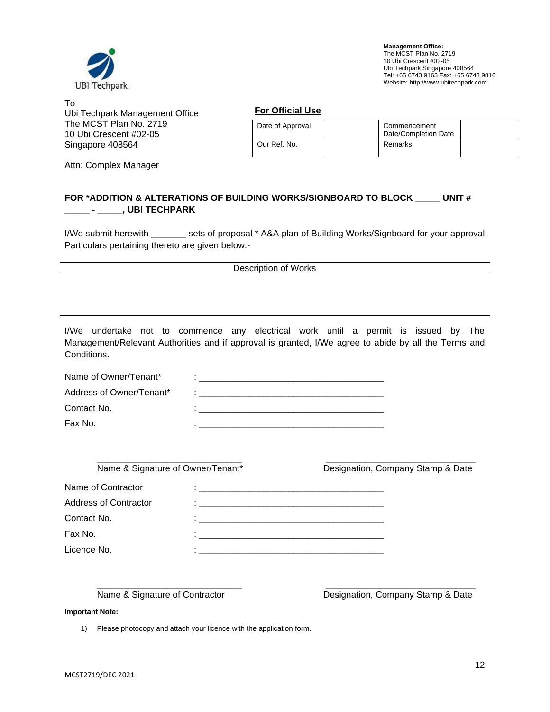

To Ubi Techpark Management Office The MCST Plan No. 2719 10 Ubi Crescent #02-05 Singapore 408564

Attn: Complex Manager

#### **For Official Use**

| Date of Approval | Commencement<br>Date/Completion Date |  |
|------------------|--------------------------------------|--|
| Our Ref. No.     | Remarks                              |  |

## **FOR \*ADDITION & ALTERATIONS OF BUILDING WORKS/SIGNBOARD TO BLOCK \_\_\_\_\_ UNIT # \_\_\_\_\_ - \_\_\_\_\_, UBI TECHPARK**

I/We submit herewith \_\_\_\_\_\_\_ sets of proposal \* A&A plan of Building Works/Signboard for your approval. Particulars pertaining thereto are given below:-

| <b>Description of Works</b> |  |
|-----------------------------|--|
|                             |  |
|                             |  |
|                             |  |

I/We undertake not to commence any electrical work until a permit is issued by The Management/Relevant Authorities and if approval is granted, I/We agree to abide by all the Terms and Conditions.

| Name of Owner/Tenant*    |  |
|--------------------------|--|
| Address of Owner/Tenant* |  |
| Contact No.              |  |
| Fax No.                  |  |

| Name & Signature of Owner/Tenant* |                                                                                                                       | Designation, Company Stamp & Date |  |
|-----------------------------------|-----------------------------------------------------------------------------------------------------------------------|-----------------------------------|--|
| Name of Contractor                |                                                                                                                       |                                   |  |
| <b>Address of Contractor</b>      |                                                                                                                       |                                   |  |
| Contact No.                       | . .                                                                                                                   |                                   |  |
| Fax No.                           |                                                                                                                       |                                   |  |
| Licence No.                       | <u> 1990 - Jan James Barnett, mars et al. 1990 - 1990 - 1990 - 1991 - 1992 - 1993 - 1994 - 1994 - 1994 - 1994 - 1</u> |                                   |  |
|                                   |                                                                                                                       |                                   |  |

\_\_\_\_\_\_\_\_\_\_\_\_\_\_\_\_\_\_\_\_\_\_\_\_\_\_\_\_\_ \_\_\_\_\_\_\_\_\_\_\_\_\_\_\_\_\_\_\_\_\_\_\_\_\_\_\_\_\_\_

Name & Signature of Contractor **Designation**, Company Stamp & Date

#### **Important Note:**

1) Please photocopy and attach your licence with the application form.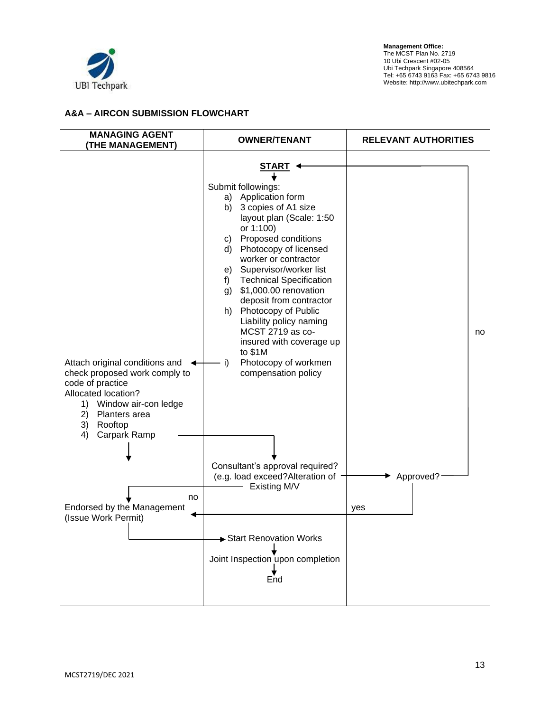

## **A&A – AIRCON SUBMISSION FLOWCHART**

| <b>MANAGING AGENT</b><br><b>(THE MANAGEMENT)</b>                                                                                                                                                              | <b>OWNER/TENANT</b>                                                                                                                                                                                                                                                                                                                                                                                                                                                                                      | <b>RELEVANT AUTHORITIES</b> |  |  |
|---------------------------------------------------------------------------------------------------------------------------------------------------------------------------------------------------------------|----------------------------------------------------------------------------------------------------------------------------------------------------------------------------------------------------------------------------------------------------------------------------------------------------------------------------------------------------------------------------------------------------------------------------------------------------------------------------------------------------------|-----------------------------|--|--|
| Attach original conditions and $\leftarrow$<br>check proposed work comply to<br>code of practice<br>Allocated location?<br>1) Window air-con ledge<br>2) Planters area<br>3)<br>Rooftop<br>Carpark Ramp<br>4) | <u>START</u><br>Submit followings:<br>a) Application form<br>b) 3 copies of A1 size<br>layout plan (Scale: 1:50<br>or 1:100)<br>c) Proposed conditions<br>d) Photocopy of licensed<br>worker or contractor<br>e) Supervisor/worker list<br>f) Technical Specification<br>\$1,000.00 renovation<br>g)<br>deposit from contractor<br>Photocopy of Public<br>h)<br>Liability policy naming<br>MCST 2719 as co-<br>insured with coverage up<br>to $$1M$<br>Photocopy of workmen<br>i)<br>compensation policy | no.                         |  |  |
| no<br>Endorsed by the Management<br>(Issue Work Permit)                                                                                                                                                       | Consultant's approval required?<br>(e.g. load exceed?Alteration of -<br>Existing M/V<br>Start Renovation Works<br>Joint Inspection upon completion                                                                                                                                                                                                                                                                                                                                                       | Approved?<br>yes            |  |  |
|                                                                                                                                                                                                               | End                                                                                                                                                                                                                                                                                                                                                                                                                                                                                                      |                             |  |  |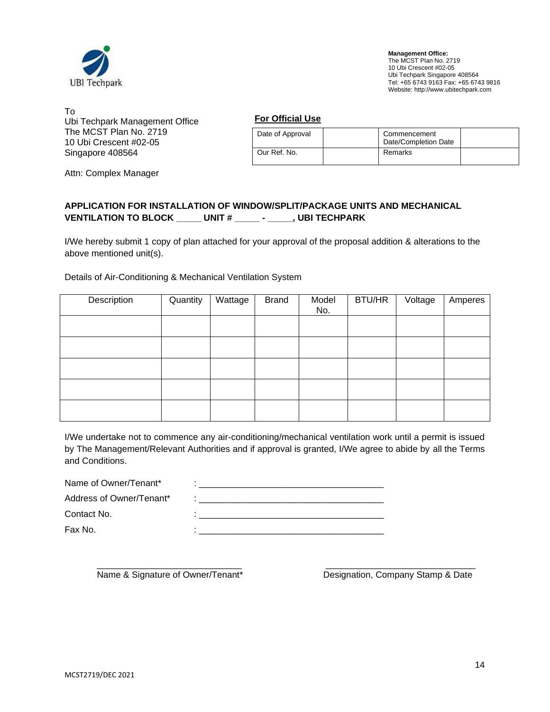

To Ubi Techpark Management Office The MCST Plan No. 2719 10 Ubi Crescent #02-05 Singapore 408564

**For Official Use**

| Date of Approval | Commencement<br>Date/Completion Date |  |
|------------------|--------------------------------------|--|
| Our Ref. No.     | Remarks                              |  |

Attn: Complex Manager

## **APPLICATION FOR INSTALLATION OF WINDOW/SPLIT/PACKAGE UNITS AND MECHANICAL VENTILATION TO BLOCK \_\_\_\_\_ UNIT # \_\_\_\_\_ - \_\_\_\_\_, UBI TECHPARK**

I/We hereby submit 1 copy of plan attached for your approval of the proposal addition & alterations to the above mentioned unit(s).

Details of Air-Conditioning & Mechanical Ventilation System

| Description | Quantity | Wattage | <b>Brand</b> | Model<br>No. | BTU/HR | Voltage | Amperes |
|-------------|----------|---------|--------------|--------------|--------|---------|---------|
|             |          |         |              |              |        |         |         |
|             |          |         |              |              |        |         |         |
|             |          |         |              |              |        |         |         |
|             |          |         |              |              |        |         |         |
|             |          |         |              |              |        |         |         |

I/We undertake not to commence any air-conditioning/mechanical ventilation work until a permit is issued by The Management/Relevant Authorities and if approval is granted, I/We agree to abide by all the Terms and Conditions.

| Name of Owner/Tenant*    |  |
|--------------------------|--|
| Address of Owner/Tenant* |  |
| Contact No.              |  |
| Fax No.                  |  |

\_\_\_\_\_\_\_\_\_\_\_\_\_\_\_\_\_\_\_\_\_\_\_\_\_\_\_\_\_ \_\_\_\_\_\_\_\_\_\_\_\_\_\_\_\_\_\_\_\_\_\_\_\_\_\_\_\_\_\_ Name & Signature of Owner/Tenant\* Designation, Company Stamp & Date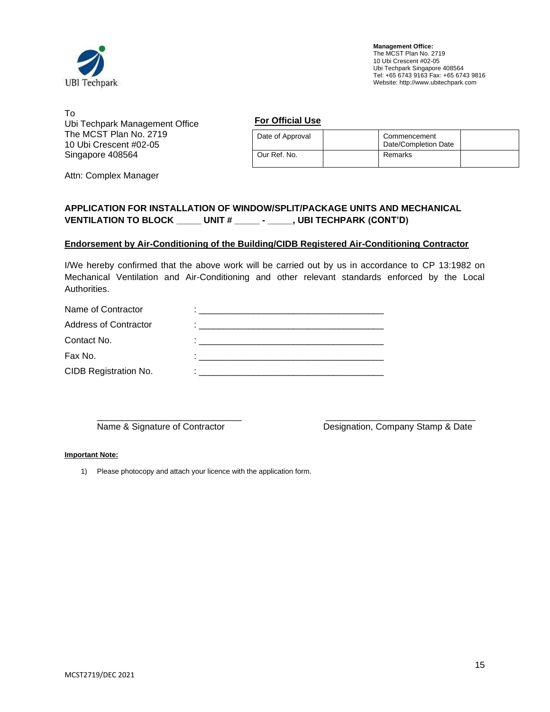

To Ubi Techpark Management Office The MCST Plan No. 2719 10 Ubi Crescent #02-05 Singapore 408564

**For Official Use**

| Date of Approval | Commencement<br>Date/Completion Date |  |
|------------------|--------------------------------------|--|
| Our Ref. No.     | Remarks                              |  |

Attn: Complex Manager

## **APPLICATION FOR INSTALLATION OF WINDOW/SPLIT/PACKAGE UNITS AND MECHANICAL VENTILATION TO BLOCK \_\_\_\_\_ UNIT # \_\_\_\_\_ - \_\_\_\_\_, UBI TECHPARK (CONT'D)**

### **Endorsement by Air-Conditioning of the Building/CIDB Registered Air-Conditioning Contractor**

I/We hereby confirmed that the above work will be carried out by us in accordance to CP 13:1982 on Mechanical Ventilation and Air-Conditioning and other relevant standards enforced by the Local Authorities.

| Name of Contractor           |                                                                                                                                                                                                                                |
|------------------------------|--------------------------------------------------------------------------------------------------------------------------------------------------------------------------------------------------------------------------------|
| <b>Address of Contractor</b> | and the control of the control of the control of the control of the control of the control of the control of the control of the control of the control of the control of the control of the control of the control of the cont |
| Contact No.                  |                                                                                                                                                                                                                                |
| Fax No.                      |                                                                                                                                                                                                                                |
| CIDB Registration No.        |                                                                                                                                                                                                                                |
|                              |                                                                                                                                                                                                                                |

\_\_\_\_\_\_\_\_\_\_\_\_\_\_\_\_\_\_\_\_\_\_\_\_\_\_\_\_\_ \_\_\_\_\_\_\_\_\_\_\_\_\_\_\_\_\_\_\_\_\_\_\_\_\_\_\_\_\_\_

Name & Signature of Contractor **Designation**, Company Stamp & Date

#### **Important Note:**

1) Please photocopy and attach your licence with the application form.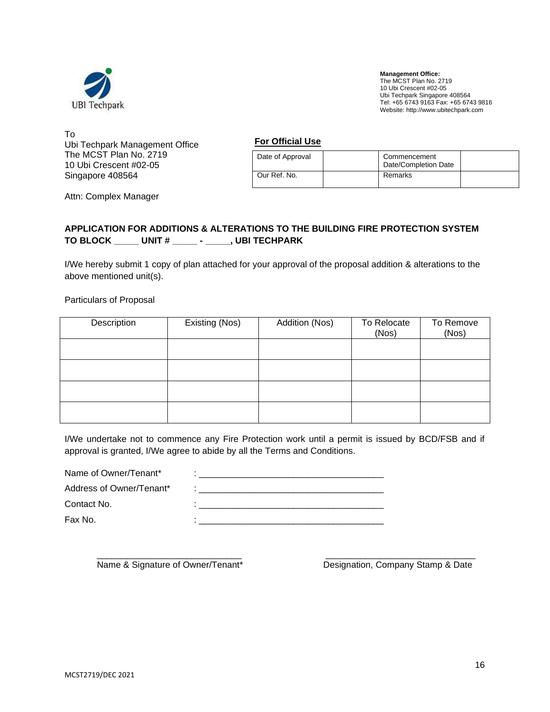

To Ubi Techpark Management Office The MCST Plan No. 2719 10 Ubi Crescent #02-05 Singapore 408564

**For Official Use**

| Date of Approval | Commencement<br>Date/Completion Date |  |
|------------------|--------------------------------------|--|
| Our Ref. No.     | Remarks                              |  |

Attn: Complex Manager

## **APPLICATION FOR ADDITIONS & ALTERATIONS TO THE BUILDING FIRE PROTECTION SYSTEM TO BLOCK \_\_\_\_\_ UNIT # \_\_\_\_\_ - \_\_\_\_\_, UBI TECHPARK**

I/We hereby submit 1 copy of plan attached for your approval of the proposal addition & alterations to the above mentioned unit(s).

Particulars of Proposal

| Description | Existing (Nos) | Addition (Nos) | To Relocate<br>(Nos) | To Remove<br>(Nos) |
|-------------|----------------|----------------|----------------------|--------------------|
|             |                |                |                      |                    |
|             |                |                |                      |                    |
|             |                |                |                      |                    |
|             |                |                |                      |                    |

I/We undertake not to commence any Fire Protection work until a permit is issued by BCD/FSB and if approval is granted, I/We agree to abide by all the Terms and Conditions.

| Name of Owner/Tenant*    |  |
|--------------------------|--|
| Address of Owner/Tenant* |  |
| Contact No.              |  |
| Fax No.                  |  |
|                          |  |

\_\_\_\_\_\_\_\_\_\_\_\_\_\_\_\_\_\_\_\_\_\_\_\_\_\_\_\_\_ \_\_\_\_\_\_\_\_\_\_\_\_\_\_\_\_\_\_\_\_\_\_\_\_\_\_\_\_\_\_ Name & Signature of Owner/Tenant\* Designation, Company Stamp & Date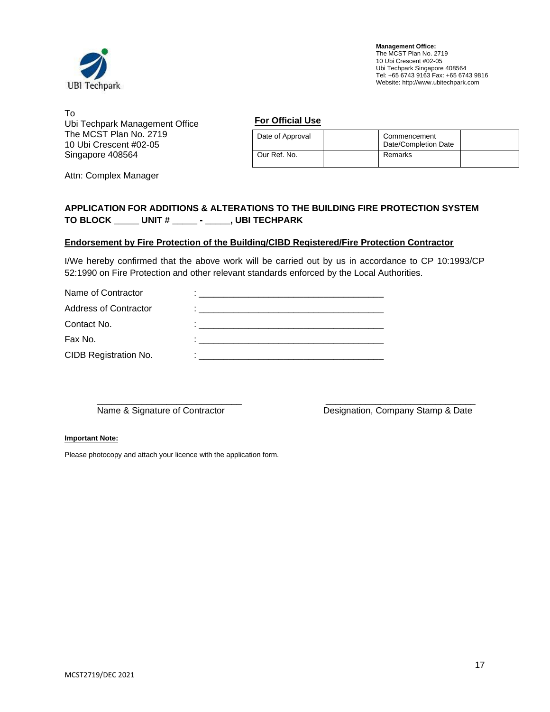

To Ubi Techpark Management Office The MCST Plan No. 2719 10 Ubi Crescent #02-05 Singapore 408564

**For Official Use**

| Date of Approval | Commencement<br>Date/Completion Date |  |
|------------------|--------------------------------------|--|
| Our Ref. No.     | Remarks                              |  |

Attn: Complex Manager

## **APPLICATION FOR ADDITIONS & ALTERATIONS TO THE BUILDING FIRE PROTECTION SYSTEM TO BLOCK \_\_\_\_\_ UNIT # \_\_\_\_\_ - \_\_\_\_\_, UBI TECHPARK**

## **Endorsement by Fire Protection of the Building/CIBD Registered/Fire Protection Contractor**

I/We hereby confirmed that the above work will be carried out by us in accordance to CP 10:1993/CP 52:1990 on Fire Protection and other relevant standards enforced by the Local Authorities.

| Name of Contractor           |                                                                                                                 |
|------------------------------|-----------------------------------------------------------------------------------------------------------------|
| <b>Address of Contractor</b> | the contract of the contract of the contract of the contract of the contract of the contract of the contract of |
| Contact No.                  | and the state of the state of the state of the state of the state of the state of the state of the state of the |
| Fax No.                      |                                                                                                                 |
| CIDB Registration No.        |                                                                                                                 |
|                              |                                                                                                                 |

\_\_\_\_\_\_\_\_\_\_\_\_\_\_\_\_\_\_\_\_\_\_\_\_\_\_\_\_\_ \_\_\_\_\_\_\_\_\_\_\_\_\_\_\_\_\_\_\_\_\_\_\_\_\_\_\_\_\_\_

Name & Signature of Contractor **Designation, Company Stamp & Date** 

#### **Important Note:**

Please photocopy and attach your licence with the application form.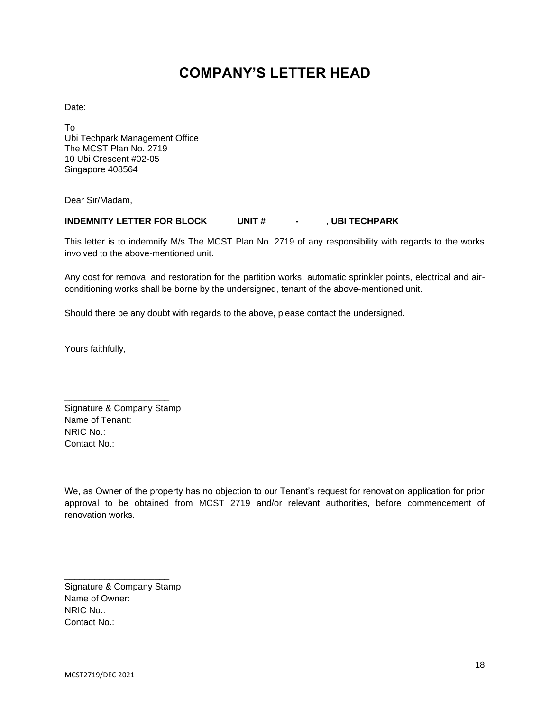# **COMPANY'S LETTER HEAD**

Date:

To Ubi Techpark Management Office The MCST Plan No. 2719 10 Ubi Crescent #02-05 Singapore 408564

Dear Sir/Madam,

## **INDEMNITY LETTER FOR BLOCK \_\_\_\_\_ UNIT # \_\_\_\_\_ - \_\_\_\_\_, UBI TECHPARK**

This letter is to indemnify M/s The MCST Plan No. 2719 of any responsibility with regards to the works involved to the above-mentioned unit.

Any cost for removal and restoration for the partition works, automatic sprinkler points, electrical and airconditioning works shall be borne by the undersigned, tenant of the above-mentioned unit.

Should there be any doubt with regards to the above, please contact the undersigned.

Yours faithfully,

Signature & Company Stamp Name of Tenant: NRIC No.: Contact No.:

\_\_\_\_\_\_\_\_\_\_\_\_\_\_\_\_\_\_\_\_\_

We, as Owner of the property has no objection to our Tenant's request for renovation application for prior approval to be obtained from MCST 2719 and/or relevant authorities, before commencement of renovation works.

Signature & Company Stamp Name of Owner: NRIC No.: Contact No.:

\_\_\_\_\_\_\_\_\_\_\_\_\_\_\_\_\_\_\_\_\_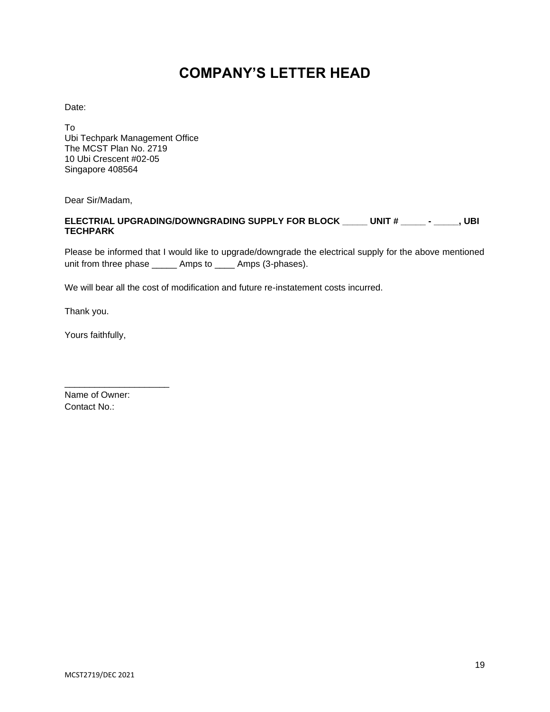# **COMPANY'S LETTER HEAD**

Date:

To Ubi Techpark Management Office The MCST Plan No. 2719 10 Ubi Crescent #02-05 Singapore 408564

Dear Sir/Madam,

## **ELECTRIAL UPGRADING/DOWNGRADING SUPPLY FOR BLOCK \_\_\_\_\_ UNIT # \_\_\_\_\_ - \_\_\_\_\_, UBI TECHPARK**

Please be informed that I would like to upgrade/downgrade the electrical supply for the above mentioned unit from three phase \_\_\_\_\_ Amps to \_\_\_\_ Amps (3-phases).

We will bear all the cost of modification and future re-instatement costs incurred.

Thank you.

Yours faithfully,

Name of Owner: Contact No.:

\_\_\_\_\_\_\_\_\_\_\_\_\_\_\_\_\_\_\_\_\_